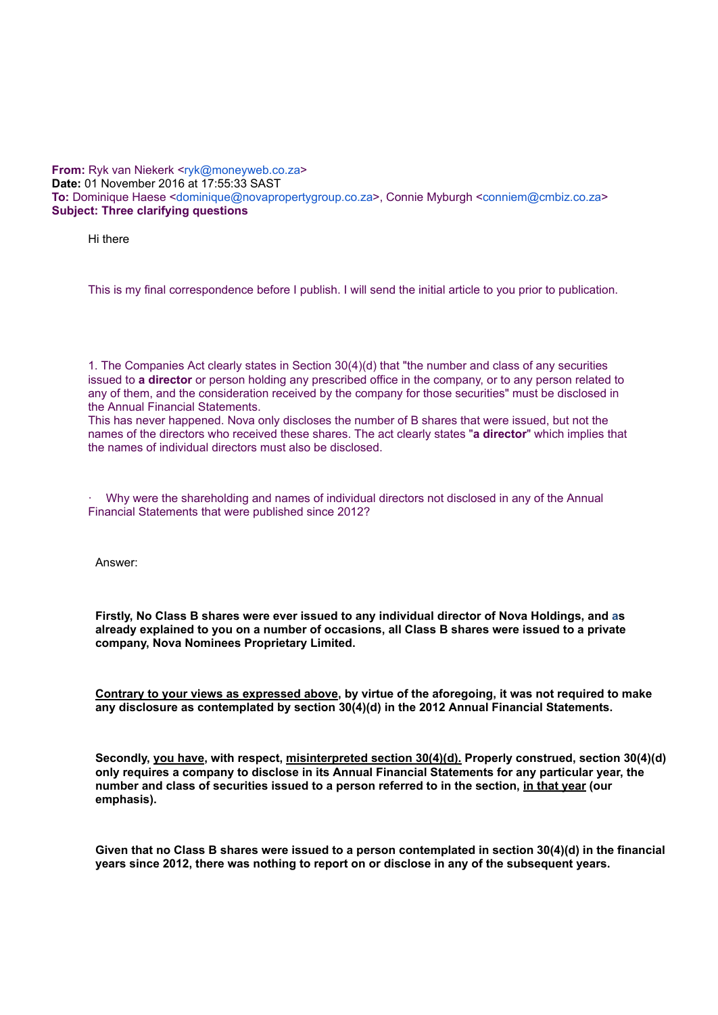## **From:** Ryk van Niekerk <[ryk@moneyweb.co.za](mailto:ryk@moneyweb.co.za)> **Date:** 01 November 2016 at 17:55:33 SAST **To:** Dominique Haese [<dominique@novapropertygroup.co.za](mailto:dominique@novapropertygroup.co.za)>, Connie Myburgh <[conniem@cmbiz.co.za>](mailto:conniem@cmbiz.co.za) **Subject: Three clarifying questions**

Hi there

This is my final correspondence before I publish. I will send the initial article to you prior to publication.

1. The Companies Act clearly states in Section 30(4)(d) that "the number and class of any securities issued to **a director** or person holding any prescribed office in the company, or to any person related to any of them, and the consideration received by the company for those securities" must be disclosed in the Annual Financial Statements.

This has never happened. Nova only discloses the number of B shares that were issued, but not the names of the directors who received these shares. The act clearly states "**a director**" which implies that the names of individual directors must also be disclosed.

· Why were the shareholding and names of individual directors not disclosed in any of the Annual Financial Statements that were published since 2012?

Answer:

**Firstly, No Class B shares were ever issued to any individual director of Nova Holdings, and as already explained to you on a number of occasions, all Class B shares were issued to a private company, Nova Nominees Proprietary Limited.**

**Contrary to your views as expressed above, by virtue of the aforegoing, it was not required to make any disclosure as contemplated by section 30(4)(d) in the 2012 Annual Financial Statements.**

**Secondly, you have, with respect, misinterpreted section 30(4)(d). Properly construed, section 30(4)(d) only requires a company to disclose in its Annual Financial Statements for any particular year, the number and class of securities issued to a person referred to in the section, in that year (our emphasis).**

**Given that no Class B shares were issued to a person contemplated in section 30(4)(d) in the financial years since 2012, there was nothing to report on or disclose in any of the subsequent years.**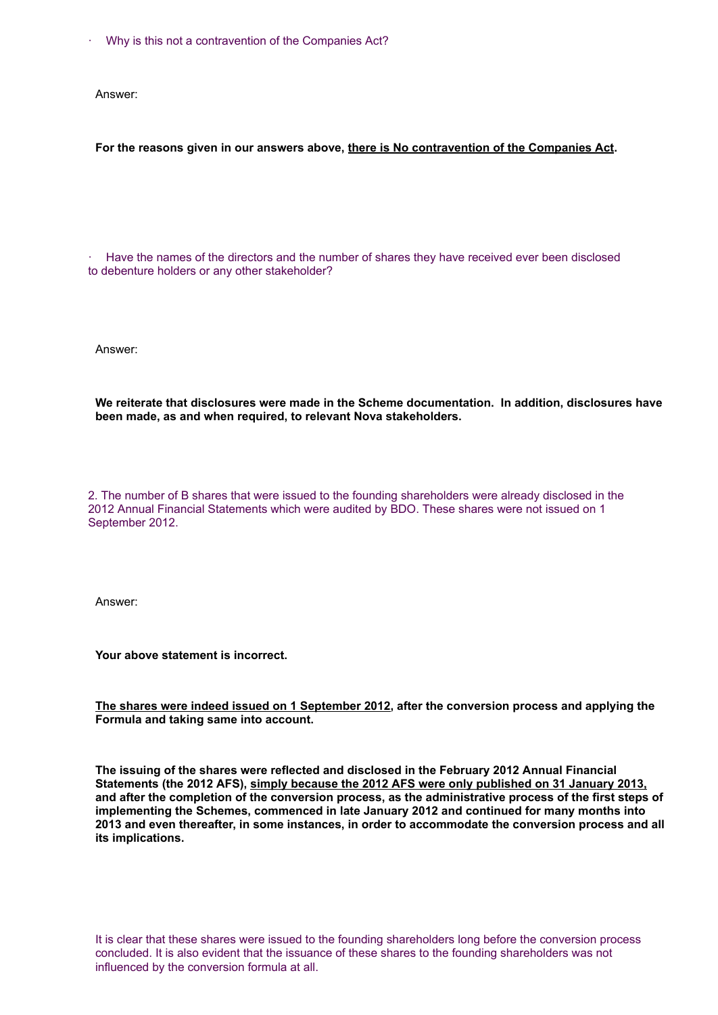Why is this not a contravention of the Companies Act?

Answer:

## **For the reasons given in our answers above, there is No contravention of the Companies Act.**

· Have the names of the directors and the number of shares they have received ever been disclosed to debenture holders or any other stakeholder?

Answer:

**We reiterate that disclosures were made in the Scheme documentation. In addition, disclosures have been made, as and when required, to relevant Nova stakeholders.**

2. The number of B shares that were issued to the founding shareholders were already disclosed in the 2012 Annual Financial Statements which were audited by BDO. These shares were not issued on 1 September 2012.

Answer:

**Your above statement is incorrect.**

**The shares were indeed issued on 1 September 2012, after the conversion process and applying the Formula and taking same into account.**

**The issuing of the shares were reflected and disclosed in the February 2012 Annual Financial Statements (the 2012 AFS), simply because the 2012 AFS were only published on 31 January 2013, and after the completion of the conversion process, as the administrative process of the first steps of implementing the Schemes, commenced in late January 2012 and continued for many months into 2013 and even thereafter, in some instances, in order to accommodate the conversion process and all its implications.**

It is clear that these shares were issued to the founding shareholders long before the conversion process concluded. It is also evident that the issuance of these shares to the founding shareholders was not influenced by the conversion formula at all.